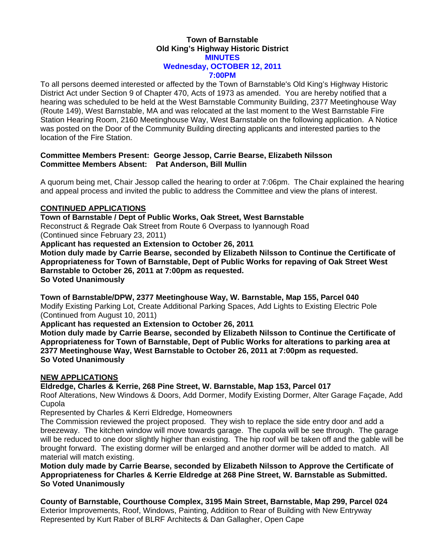### **Town of Barnstable Old King's Highway Historic District MINUTES Wednesday, OCTOBER 12, 2011 7:00PM**

To all persons deemed interested or affected by the Town of Barnstable's Old King's Highway Historic District Act under Section 9 of Chapter 470, Acts of 1973 as amended. You are hereby notified that a hearing was scheduled to be held at the West Barnstable Community Building, 2377 Meetinghouse Way (Route 149), West Barnstable, MA and was relocated at the last moment to the West Barnstable Fire Station Hearing Room, 2160 Meetinghouse Way, West Barnstable on the following application. A Notice was posted on the Door of the Community Building directing applicants and interested parties to the location of the Fire Station.

### **Committee Members Present: George Jessop, Carrie Bearse, Elizabeth Nilsson Committee Members Absent: Pat Anderson, Bill Mullin**

A quorum being met, Chair Jessop called the hearing to order at 7:06pm. The Chair explained the hearing and appeal process and invited the public to address the Committee and view the plans of interest.

# **CONTINUED APPLICATIONS**

**Town of Barnstable / Dept of Public Works, Oak Street, West Barnstable**  Reconstruct & Regrade Oak Street from Route 6 Overpass to Iyannough Road (Continued since February 23, 2011)

**Applicant has requested an Extension to October 26, 2011** 

**Motion duly made by Carrie Bearse, seconded by Elizabeth Nilsson to Continue the Certificate of Appropriateness for Town of Barnstable, Dept of Public Works for repaving of Oak Street West Barnstable to October 26, 2011 at 7:00pm as requested. So Voted Unanimously** 

**Town of Barnstable/DPW, 2377 Meetinghouse Way, W. Barnstable, Map 155, Parcel 040**  Modify Existing Parking Lot, Create Additional Parking Spaces, Add Lights to Existing Electric Pole (Continued from August 10, 2011)

**Applicant has requested an Extension to October 26, 2011** 

**Motion duly made by Carrie Bearse, seconded by Elizabeth Nilsson to Continue the Certificate of Appropriateness for Town of Barnstable, Dept of Public Works for alterations to parking area at 2377 Meetinghouse Way, West Barnstable to October 26, 2011 at 7:00pm as requested. So Voted Unanimously** 

# **NEW APPLICATIONS**

**Eldredge, Charles & Kerrie, 268 Pine Street, W. Barnstable, Map 153, Parcel 017** 

Roof Alterations, New Windows & Doors, Add Dormer, Modify Existing Dormer, Alter Garage Façade, Add Cupola

Represented by Charles & Kerri Eldredge, Homeowners

The Commission reviewed the project proposed. They wish to replace the side entry door and add a breezeway. The kitchen window will move towards garage. The cupola will be see through. The garage will be reduced to one door slightly higher than existing. The hip roof will be taken off and the gable will be brought forward. The existing dormer will be enlarged and another dormer will be added to match. All material will match existing.

**Motion duly made by Carrie Bearse, seconded by Elizabeth Nilsson to Approve the Certificate of Appropriateness for Charles & Kerrie Eldredge at 268 Pine Street, W. Barnstable as Submitted. So Voted Unanimously** 

**County of Barnstable, Courthouse Complex, 3195 Main Street, Barnstable, Map 299, Parcel 024**  Exterior Improvements, Roof, Windows, Painting, Addition to Rear of Building with New Entryway Represented by Kurt Raber of BLRF Architects & Dan Gallagher, Open Cape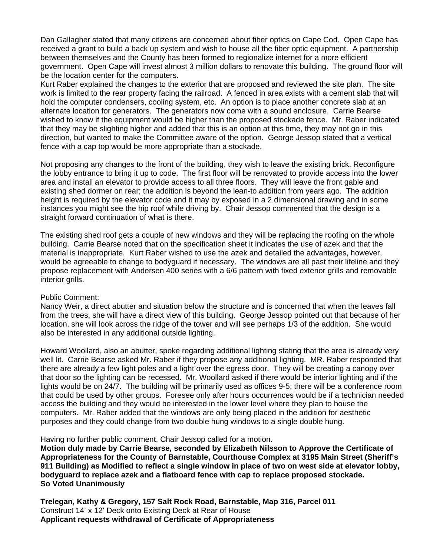Dan Gallagher stated that many citizens are concerned about fiber optics on Cape Cod. Open Cape has received a grant to build a back up system and wish to house all the fiber optic equipment. A partnership between themselves and the County has been formed to regionalize internet for a more efficient government. Open Cape will invest almost 3 million dollars to renovate this building. The ground floor will be the location center for the computers.

Kurt Raber explained the changes to the exterior that are proposed and reviewed the site plan. The site work is limited to the rear property facing the railroad. A fenced in area exists with a cement slab that will hold the computer condensers, cooling system, etc. An option is to place another concrete slab at an alternate location for generators. The generators now come with a sound enclosure. Carrie Bearse wished to know if the equipment would be higher than the proposed stockade fence. Mr. Raber indicated that they may be slighting higher and added that this is an option at this time, they may not go in this direction, but wanted to make the Committee aware of the option. George Jessop stated that a vertical fence with a cap top would be more appropriate than a stockade.

Not proposing any changes to the front of the building, they wish to leave the existing brick. Reconfigure the lobby entrance to bring it up to code. The first floor will be renovated to provide access into the lower area and install an elevator to provide access to all three floors. They will leave the front gable and existing shed dormer on rear; the addition is beyond the lean-to addition from years ago. The addition height is required by the elevator code and it may by exposed in a 2 dimensional drawing and in some instances you might see the hip roof while driving by. Chair Jessop commented that the design is a straight forward continuation of what is there.

The existing shed roof gets a couple of new windows and they will be replacing the roofing on the whole building. Carrie Bearse noted that on the specification sheet it indicates the use of azek and that the material is inappropriate. Kurt Raber wished to use the azek and detailed the advantages, however, would be agreeable to change to bodyguard if necessary. The windows are all past their lifeline and they propose replacement with Andersen 400 series with a 6/6 pattern with fixed exterior grills and removable interior grills.

#### Public Comment:

Nancy Weir, a direct abutter and situation below the structure and is concerned that when the leaves fall from the trees, she will have a direct view of this building. George Jessop pointed out that because of her location, she will look across the ridge of the tower and will see perhaps 1/3 of the addition. She would also be interested in any additional outside lighting.

Howard Woollard, also an abutter, spoke regarding additional lighting stating that the area is already very well lit. Carrie Bearse asked Mr. Raber if they propose any additional lighting. MR. Raber responded that there are already a few light poles and a light over the egress door. They will be creating a canopy over that door so the lighting can be recessed. Mr. Woollard asked if there would be interior lighting and if the lights would be on 24/7. The building will be primarily used as offices 9-5; there will be a conference room that could be used by other groups. Foresee only after hours occurrences would be if a technician needed access the building and they would be interested in the lower level where they plan to house the computers. Mr. Raber added that the windows are only being placed in the addition for aesthetic purposes and they could change from two double hung windows to a single double hung.

Having no further public comment, Chair Jessop called for a motion.

**Motion duly made by Carrie Bearse, seconded by Elizabeth Nilsson to Approve the Certificate of Appropriateness for the County of Barnstable, Courthouse Complex at 3195 Main Street (Sheriff's 911 Building) as Modified to reflect a single window in place of two on west side at elevator lobby, bodyguard to replace azek and a flatboard fence with cap to replace proposed stockade. So Voted Unanimously** 

**Trelegan, Kathy & Gregory, 157 Salt Rock Road, Barnstable, Map 316, Parcel 011**  Construct 14' x 12' Deck onto Existing Deck at Rear of House **Applicant requests withdrawal of Certificate of Appropriateness**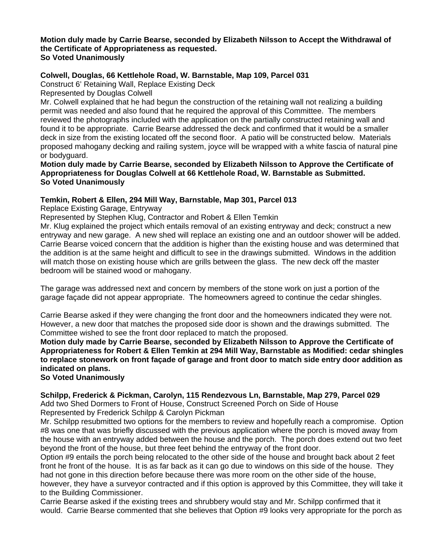#### **Motion duly made by Carrie Bearse, seconded by Elizabeth Nilsson to Accept the Withdrawal of the Certificate of Appropriateness as requested. So Voted Unanimously**

# **Colwell, Douglas, 66 Kettlehole Road, W. Barnstable, Map 109, Parcel 031**

Construct 6' Retaining Wall, Replace Existing Deck

Represented by Douglas Colwell

Mr. Colwell explained that he had begun the construction of the retaining wall not realizing a building permit was needed and also found that he required the approval of this Committee. The members reviewed the photographs included with the application on the partially constructed retaining wall and found it to be appropriate. Carrie Bearse addressed the deck and confirmed that it would be a smaller deck in size from the existing located off the second floor. A patio will be constructed below. Materials proposed mahogany decking and railing system, joyce will be wrapped with a white fascia of natural pine or bodyguard.

**Motion duly made by Carrie Bearse, seconded by Elizabeth Nilsson to Approve the Certificate of Appropriateness for Douglas Colwell at 66 Kettlehole Road, W. Barnstable as Submitted. So Voted Unanimously** 

### **Temkin, Robert & Ellen, 294 Mill Way, Barnstable, Map 301, Parcel 013**

Replace Existing Garage, Entryway

Represented by Stephen Klug, Contractor and Robert & Ellen Temkin

Mr. Klug explained the project which entails removal of an existing entryway and deck; construct a new entryway and new garage. A new shed will replace an existing one and an outdoor shower will be added. Carrie Bearse voiced concern that the addition is higher than the existing house and was determined that the addition is at the same height and difficult to see in the drawings submitted. Windows in the addition will match those on existing house which are grills between the glass. The new deck off the master bedroom will be stained wood or mahogany.

The garage was addressed next and concern by members of the stone work on just a portion of the garage façade did not appear appropriate. The homeowners agreed to continue the cedar shingles.

Carrie Bearse asked if they were changing the front door and the homeowners indicated they were not. However, a new door that matches the proposed side door is shown and the drawings submitted. The Committee wished to see the front door replaced to match the proposed.

**Motion duly made by Carrie Bearse, seconded by Elizabeth Nilsson to Approve the Certificate of Appropriateness for Robert & Ellen Temkin at 294 Mill Way, Barnstable as Modified: cedar shingles to replace stonework on front façade of garage and front door to match side entry door addition as indicated on plans.** 

### **So Voted Unanimously**

# **Schilpp, Frederick & Pickman, Carolyn, 115 Rendezvous Ln, Barnstable, Map 279, Parcel 029**

Add two Shed Dormers to Front of House, Construct Screened Porch on Side of House Represented by Frederick Schilpp & Carolyn Pickman

Mr. Schilpp resubmitted two options for the members to review and hopefully reach a compromise. Option #8 was one that was briefly discussed with the previous application where the porch is moved away from the house with an entryway added between the house and the porch. The porch does extend out two feet beyond the front of the house, but three feet behind the entryway of the front door.

Option #9 entails the porch being relocated to the other side of the house and brought back about 2 feet front he front of the house. It is as far back as it can go due to windows on this side of the house. They had not gone in this direction before because there was more room on the other side of the house, however, they have a surveyor contracted and if this option is approved by this Committee, they will take it to the Building Commissioner.

Carrie Bearse asked if the existing trees and shrubbery would stay and Mr. Schilpp confirmed that it would. Carrie Bearse commented that she believes that Option #9 looks very appropriate for the porch as